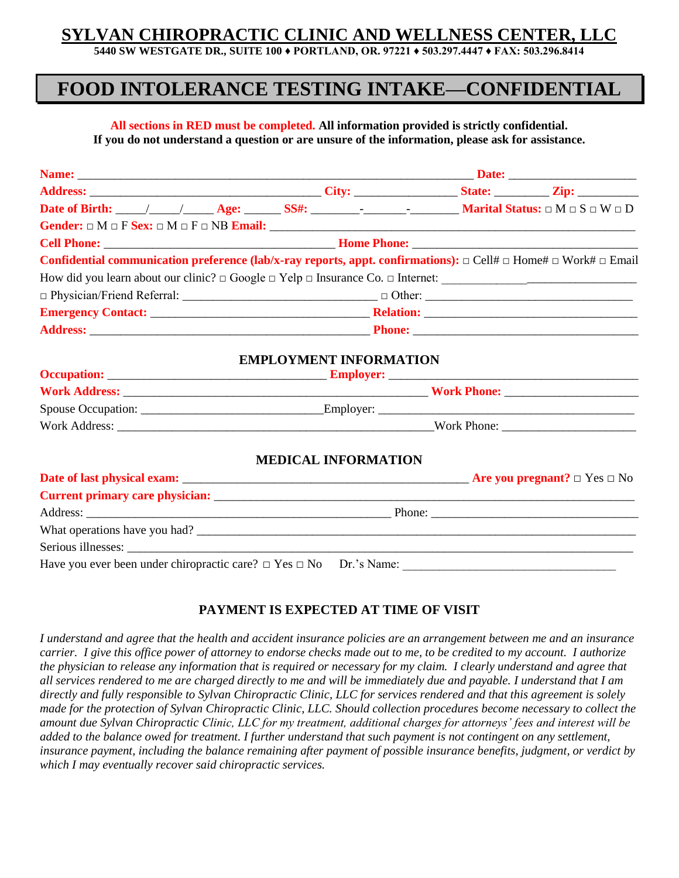**5440 SW WESTGATE DR., SUITE 100 ♦ PORTLAND, OR. 97221 ♦ 503.297.4447 ♦ FAX: 503.296.8414**

## **FOOD INTOLERANCE TESTING INTAKE—CONFIDENTIAL**

### **All sections in RED must be completed. All information provided is strictly confidential. If you do not understand a question or are unsure of the information, please ask for assistance.**

| Confidential communication preference (lab/x-ray reports, appt. confirmations): $\Box$ Cell# $\Box$ Home# $\Box$ Work# $\Box$ Email |                               |  |
|-------------------------------------------------------------------------------------------------------------------------------------|-------------------------------|--|
|                                                                                                                                     |                               |  |
|                                                                                                                                     |                               |  |
|                                                                                                                                     |                               |  |
|                                                                                                                                     |                               |  |
|                                                                                                                                     | <b>EMPLOYMENT INFORMATION</b> |  |
|                                                                                                                                     |                               |  |
|                                                                                                                                     |                               |  |
|                                                                                                                                     | <b>MEDICAL INFORMATION</b>    |  |
|                                                                                                                                     |                               |  |
|                                                                                                                                     |                               |  |
|                                                                                                                                     |                               |  |
|                                                                                                                                     |                               |  |
|                                                                                                                                     |                               |  |
|                                                                                                                                     |                               |  |
|                                                                                                                                     |                               |  |

### **PAYMENT IS EXPECTED AT TIME OF VISIT**

*I understand and agree that the health and accident insurance policies are an arrangement between me and an insurance carrier. I give this office power of attorney to endorse checks made out to me, to be credited to my account. I authorize the physician to release any information that is required or necessary for my claim. I clearly understand and agree that all services rendered to me are charged directly to me and will be immediately due and payable. I understand that I am directly and fully responsible to Sylvan Chiropractic Clinic, LLC for services rendered and that this agreement is solely made for the protection of Sylvan Chiropractic Clinic, LLC. Should collection procedures become necessary to collect the amount due Sylvan Chiropractic Clinic, LLC for my treatment, additional charges for attorneys' fees and interest will be added to the balance owed for treatment. I further understand that such payment is not contingent on any settlement, insurance payment, including the balance remaining after payment of possible insurance benefits, judgment, or verdict by which I may eventually recover said chiropractic services.*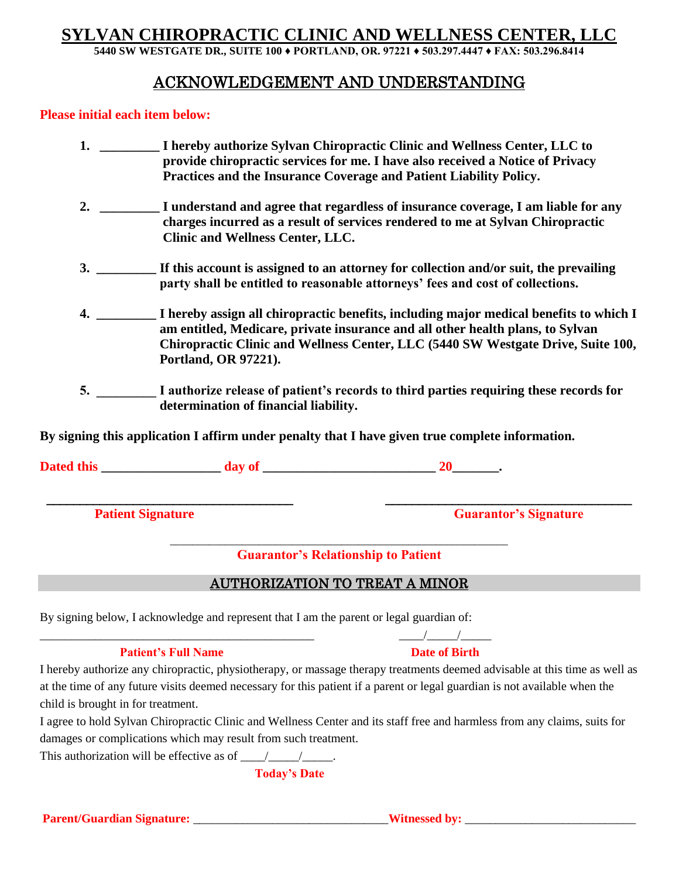**5440 SW WESTGATE DR., SUITE 100 ♦ PORTLAND, OR. 97221 ♦ 503.297.4447 ♦ FAX: 503.296.8414**

### ACKNOWLEDGEMENT AND UNDERSTANDING

### **Please initial each item below:**

- **1. \_\_\_\_\_\_\_\_\_ I hereby authorize Sylvan Chiropractic Clinic and Wellness Center, LLC to provide chiropractic services for me. I have also received a Notice of Privacy Practices and the Insurance Coverage and Patient Liability Policy.**
- **2. \_\_\_\_\_\_\_\_\_ I understand and agree that regardless of insurance coverage, I am liable for any charges incurred as a result of services rendered to me at Sylvan Chiropractic Clinic and Wellness Center, LLC.**
- **3. \_\_\_\_\_\_\_\_\_ If this account is assigned to an attorney for collection and/or suit, the prevailing party shall be entitled to reasonable attorneys' fees and cost of collections.**
- **4. \_\_\_\_\_\_\_\_\_ I hereby assign all chiropractic benefits, including major medical benefits to which I am entitled, Medicare, private insurance and all other health plans, to Sylvan Chiropractic Clinic and Wellness Center, LLC (5440 SW Westgate Drive, Suite 100, Portland, OR 97221).**
- **5. \_\_\_\_\_\_\_\_\_ I authorize release of patient's records to third parties requiring these records for determination of financial liability.**

**By signing this application I affirm under penalty that I have given true complete information.**

**Dated this \_\_\_\_\_\_\_\_\_\_\_\_\_\_\_\_\_\_ day of \_\_\_\_\_\_\_\_\_\_\_\_\_\_\_\_\_\_\_\_\_\_\_\_\_\_ 20\_\_\_\_\_\_\_.**

**Patient Signature Guarantor's Signature** 

### \_\_\_\_\_\_\_\_\_\_\_\_\_\_\_\_\_\_\_\_\_\_\_\_\_\_\_\_\_\_\_\_\_\_\_\_\_\_\_\_\_\_\_\_\_\_\_\_\_\_\_\_\_\_\_\_\_\_\_\_\_ **Guarantor's Relationship to Patient**

\_\_\_\_\_\_\_\_\_\_\_\_\_\_\_\_\_\_\_\_\_\_\_\_\_\_\_\_\_\_\_\_\_\_\_\_\_ \_\_\_\_\_\_\_\_\_\_\_\_\_\_\_\_\_\_\_\_\_\_\_\_\_\_\_\_\_\_\_\_\_\_\_\_\_

### AUTHORIZATION TO TREAT A MINOR

By signing below, I acknowledge and represent that I am the parent or legal guardian of:

### **Patient's Full Name Date of Birth**

# $\overline{\phantom{a}}$   $\overline{\phantom{a}}$   $\overline{\phantom{a}}$   $\overline{\phantom{a}}$   $\overline{\phantom{a}}$   $\overline{\phantom{a}}$   $\overline{\phantom{a}}$   $\overline{\phantom{a}}$   $\overline{\phantom{a}}$   $\overline{\phantom{a}}$   $\overline{\phantom{a}}$   $\overline{\phantom{a}}$   $\overline{\phantom{a}}$   $\overline{\phantom{a}}$   $\overline{\phantom{a}}$   $\overline{\phantom{a}}$   $\overline{\phantom{a}}$   $\overline{\phantom{a}}$   $\overline{\$

I hereby authorize any chiropractic, physiotherapy, or massage therapy treatments deemed advisable at this time as well as at the time of any future visits deemed necessary for this patient if a parent or legal guardian is not available when the child is brought in for treatment.

I agree to hold Sylvan Chiropractic Clinic and Wellness Center and its staff free and harmless from any claims, suits for damages or complications which may result from such treatment.

This authorization will be effective as of  $\frac{\gamma}{\gamma}$ 

**Today's Date**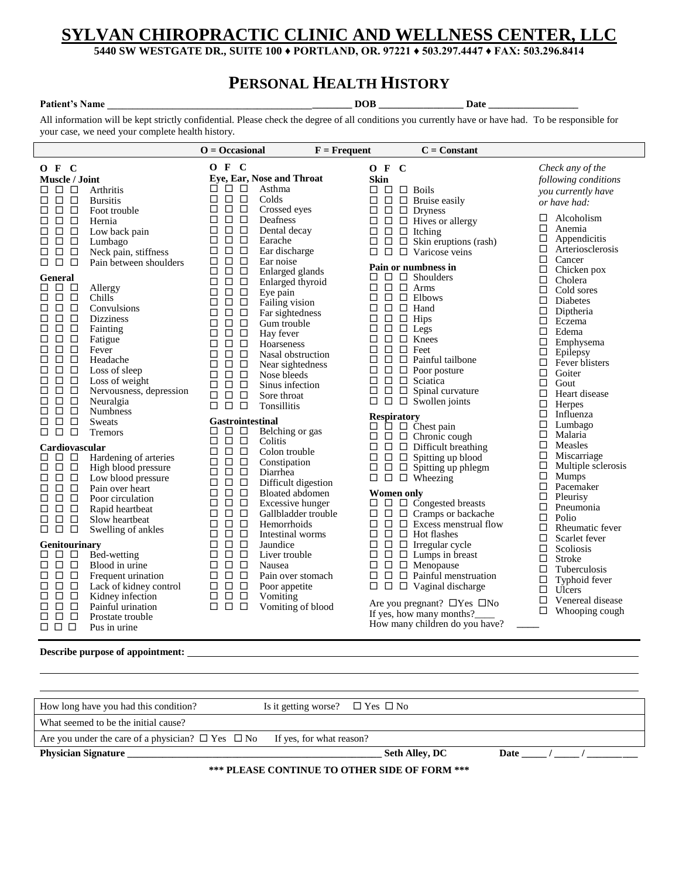**5440 SW WESTGATE DR., SUITE 100 ♦ PORTLAND, OR. 97221 ♦ 503.297.4447 ♦ FAX: 503.296.8414**

## **PERSONAL HEALTH HISTORY**

#### **Patient's Name \_\_\_\_\_\_\_\_\_\_\_\_\_\_\_\_\_\_\_\_\_\_\_\_\_\_\_\_\_\_\_\_\_\_\_\_\_\_\_\_\_\_\_\_\_\_\_\_\_ DOB \_\_\_\_\_\_\_\_\_\_\_\_\_\_\_\_\_ Date \_\_\_\_\_\_\_\_\_\_\_\_\_\_\_\_\_\_**

 $\mathbf{I}$ 

All information will be kept strictly confidential. Please check the degree of all conditions you currently have or have had. To be responsible for your case, we need your complete health history.

|                                                                                                                                                                                                                                                                                                                                                                                                                                                                                                                                                                                                                                                                                                                                                                                                                                | $O = Occasional$                                                                                                                                                                                                                                                                                                                                                                                                                                                                                                                                                                                                                                                                | $F = Frequent$                                                                                                                                                                                                                                                                                                                                                    | $C = Constant$                                                                                                                                                                                                                                                                                                                                                                                                                                                                                                                                                                                                                                                                   |                                                                                                                                                                                                                                                                                                                                                                                                             |  |  |  |  |  |
|--------------------------------------------------------------------------------------------------------------------------------------------------------------------------------------------------------------------------------------------------------------------------------------------------------------------------------------------------------------------------------------------------------------------------------------------------------------------------------------------------------------------------------------------------------------------------------------------------------------------------------------------------------------------------------------------------------------------------------------------------------------------------------------------------------------------------------|---------------------------------------------------------------------------------------------------------------------------------------------------------------------------------------------------------------------------------------------------------------------------------------------------------------------------------------------------------------------------------------------------------------------------------------------------------------------------------------------------------------------------------------------------------------------------------------------------------------------------------------------------------------------------------|-------------------------------------------------------------------------------------------------------------------------------------------------------------------------------------------------------------------------------------------------------------------------------------------------------------------------------------------------------------------|----------------------------------------------------------------------------------------------------------------------------------------------------------------------------------------------------------------------------------------------------------------------------------------------------------------------------------------------------------------------------------------------------------------------------------------------------------------------------------------------------------------------------------------------------------------------------------------------------------------------------------------------------------------------------------|-------------------------------------------------------------------------------------------------------------------------------------------------------------------------------------------------------------------------------------------------------------------------------------------------------------------------------------------------------------------------------------------------------------|--|--|--|--|--|
| $O$ F C                                                                                                                                                                                                                                                                                                                                                                                                                                                                                                                                                                                                                                                                                                                                                                                                                        | $O$ F C                                                                                                                                                                                                                                                                                                                                                                                                                                                                                                                                                                                                                                                                         |                                                                                                                                                                                                                                                                                                                                                                   | $O$ F C                                                                                                                                                                                                                                                                                                                                                                                                                                                                                                                                                                                                                                                                          | Check any of the                                                                                                                                                                                                                                                                                                                                                                                            |  |  |  |  |  |
| Muscle / Joint<br>□<br>$\Box$<br>□<br>Arthritis<br>□<br>□<br>□<br><b>Bursitis</b><br>$\Box$<br>$\Box$<br>$\Box$<br>Foot trouble<br>□<br>$\Box$<br>□<br>Hernia<br>$\Box$<br>$\Box$<br>$\Box$<br>Low back pain<br>$\Box$<br>□<br>□<br>Lumbago<br>□<br>□<br>$\Box$<br>Neck pain, stiffness<br>$\Box$<br>◻<br>□<br>Pain between shoulders<br><b>General</b><br>Allergy<br>□<br>$\Box$<br>□<br>$\Box$<br>$\Box$<br>Chills<br>□<br>$\Box$<br>$\Box$<br>Convulsions<br>□<br>□<br>$\Box$<br>$\Box$<br><b>Dizziness</b><br>$\Box$<br>□<br>$\Box$<br>Fainting<br>$\Box$<br>$\Box$<br>◻<br>Fatigue<br>□<br>□<br>□<br>Fever<br>$\Box$<br>◻<br>□<br>Headache<br>$\Box$<br>$\Box$<br>$\Box$<br>Loss of sleep<br>Loss of weight<br>□<br>□<br>□<br>$\Box$<br>$\Box$<br>$\Box$<br>Nervousness, depression<br>$\Box$<br>$\Box$<br>□<br>Neuralgia | Eye, Ear, Nose and Throat<br>$\Box$ $\Box$ $\Box$<br>Asthma<br>0 0 0<br>Colds<br>$\Box$<br>$\Box$<br>$\Box$<br>$\Box$<br>$\Box$<br>$\Box$<br>Deafness<br>$\Box$<br>$\Box$<br>□<br>$\Box$<br>$\Box$<br>□<br>Earache<br>$\Box$<br>$\Box$<br>$\Box$<br>$\Box$<br>$\Box$<br>$\Box$<br>Ear noise<br>$\Box$<br>$\Box$<br>□<br>□<br>$\Box$<br>$\Box$<br>$\Box$<br>$\Box$<br>$\Box$<br>Eye pain<br>□<br>$\Box$<br>$\Box$<br>$\Box$<br>$\Box$<br>$\Box$<br>$\Box$<br>$\Box$<br>$\Box$<br>$\Box$<br>□<br>$\Box$<br>$\Box$<br>$\Box$<br>$\Box$<br>$\Box$<br>$\Box$<br>□<br>$\Box$<br>$\Box$<br>□<br>$\Box$<br>$\Box$<br>$\Box$<br>$\Box$<br>$\Box$<br>$\Box$<br>$\Box$<br>$\Box$<br>$\Box$ | Crossed eyes<br>□<br>$\Box$<br>Dental decay<br>$\Box$<br>□<br>Ear discharge<br>$\Box$<br>Enlarged glands<br>Enlarged thyroid<br>Failing vision<br>□<br>Far sightedness<br>□<br>Gum trouble<br>$\Box$<br>Hay fever<br>□<br>Hoarseness<br>□<br>Nasal obstruction<br>□<br>Near sightedness<br>□<br>Nose bleeds<br>□<br>Sinus infection<br>$\Box$<br>Sore throat<br>□ | <b>Skin</b><br>$\square$ $\square$ $\square$ Boils<br>$\Box$ $\Box$ $\Box$ Bruise easily<br>$\Box$ Dryness<br>$\Box$<br>$\Box$ $\Box$ Hives or allergy<br>$\Box$<br>$\Box$ Itching<br>$\Box$<br>$\Box$ Skin eruptions (rash)<br>$\Box$<br>$\Box$ Varicose veins<br>Pain or numbness in<br>$\Box$ $\Box$ Shoulders<br>$\Box$ $\Box$ $\Box$ Arms<br>$\Box$ $\Box$<br>$\Box$ Elbows<br>$\Box$<br>$\square$ Hand<br>$\Box$ $\Box$ Hips<br>$\Box$<br>$\Box$ Legs<br>$\Box$ $\Box$ Knees<br>$\Box$ $\Box$ Feet<br>$\Box$<br>$\Box$ Painful tailbone<br>$\Box$<br>$\Box$ Poor posture<br>$\Box$<br>$\Box$ Sciatica<br>$\Box$<br>$\Box$ Spinal curvature<br>$\Box$ $\Box$ Swollen joints | following conditions<br>you currently have<br>or have had:<br>Alcoholism<br>□<br>$\Box$<br>Anemia<br>□<br>Appendicitis<br>□<br>Arteriosclerosis<br>□<br>Cancer<br>□<br>Chicken pox<br>□<br>Cholera<br>□<br>Cold sores<br>□<br>Diabetes<br>□<br>Diptheria<br>$\Box$<br>Eczema<br>□<br>Edema<br>□<br>Emphysema<br>$\Box$<br>Epilepsy<br>□<br>Fever blisters<br>□<br>Goiter<br>□<br>Gout<br>□<br>Heart disease |  |  |  |  |  |
| $\Box$<br>□<br>□<br><b>Numbness</b><br>$\Box$<br>$\Box$<br>◻<br>Sweats<br>□<br>□<br>□<br>Tremors                                                                                                                                                                                                                                                                                                                                                                                                                                                                                                                                                                                                                                                                                                                               | $\Box$<br>$\Box$<br>$\Box$<br><b>Gastrointestinal</b><br>□<br>$\Box$ $\Box$                                                                                                                                                                                                                                                                                                                                                                                                                                                                                                                                                                                                     | Tonsillitis<br>Belching or gas                                                                                                                                                                                                                                                                                                                                    | <b>Respiratory</b><br>$\Box$ $\Box$ Chest pain                                                                                                                                                                                                                                                                                                                                                                                                                                                                                                                                                                                                                                   | $\Box$<br>Herpes<br>□<br>Influenza<br>$\Box$<br>Lumbago<br>□<br>Malaria                                                                                                                                                                                                                                                                                                                                     |  |  |  |  |  |
| Cardiovascular<br>Hardening of arteries<br>◻<br>$\Box$<br>□<br>□<br>$\Box$<br>$\Box$<br>High blood pressure<br>$\Box$<br>Low blood pressure<br>□<br>□<br>$\Box$<br>□<br>□<br>Pain over heart<br>$\Box$<br>$\Box$<br>□<br>Poor circulation<br>□<br>□<br>$\Box$<br>Rapid heartbeat<br>◻<br>□<br>□<br>Slow heartbeat<br>$\Box$<br>$\Box$<br>$\Box$<br>Swelling of ankles                                                                                                                                                                                                                                                                                                                                                                                                                                                          | $\Box$<br>$\Box$<br>□.<br>Colitis<br>$\Box$<br>$\Box$<br>□<br>$\Box$<br>$\Box$<br>□<br>$\Box$<br>$\Box$<br>$\Box$<br>Diarrhea<br>$\Box$<br>$\Box$<br>$\Box$<br>$\Box$<br>$\Box$<br>$\Box$<br>$\Box$<br>$\Box$<br>$\Box$<br>$\Box$<br>$\Box$<br>$\Box$<br>$\Box$<br>$\Box$<br>$\Box$<br>$\Box$<br>$\Box$<br>$\Box$                                                                                                                                                                                                                                                                                                                                                               | $\Box$<br>Colon trouble<br>$\Box$<br>Constipation<br>$\Box$<br>□<br>Difficult digestion<br><b>Bloated abdomen</b><br>Excessive hunger<br>Gallbladder trouble<br>Hemorrhoids<br>$\Box$                                                                                                                                                                             | $\Box$ $\Box$ $\Box$ Chronic cough<br>$\Box$ $\Box$ Difficult breathing<br>$\Box$<br>$\Box$ Spitting up blood<br>$\Box$ Spitting up phlegm<br>$\Box$<br>$\Box$ Wheezing<br>Women only<br>$\Box$ $\Box$ $\Box$ Congested breasts<br>$\Box$ $\Box$ $\Box$ Cramps or backache<br>$\Box$ $\Box$ $\Box$ Excess menstrual flow<br>$\Box$ $\Box$ Hot flashes                                                                                                                                                                                                                                                                                                                            | $\Box$<br>Measles<br>□<br>Miscarriage<br>□<br>Multiple sclerosis<br>□<br><b>Mumps</b><br>$\Box$<br>Pacemaker<br>$\Box$<br>Pleurisy<br>□<br>Pneumonia<br>□<br>Polio<br>□<br>Rheumatic fever                                                                                                                                                                                                                  |  |  |  |  |  |
| Genitourinary<br>Bed-wetting<br>□<br>$\Box$<br>□<br>□<br>$\Box$<br>$\Box$<br>Blood in urine<br>$\Box$<br>□<br>Frequent urination<br>□<br>$\Box$<br>$\Box$<br>$\Box$<br>Lack of kidney control<br>$\Box$<br>$\Box$<br>Kidney infection<br>□<br>$\Box$<br>□<br>$\Box$<br>Painful urination<br>□<br>□<br>□<br>Prostate trouble<br>8 B<br>$\Box$<br>Pus in urine                                                                                                                                                                                                                                                                                                                                                                                                                                                                   | $\Box$<br>$\Box$<br>$\Box$<br>Jaundice<br>$\Box$<br>$\Box$<br>$\Box$<br>$\Box$<br>$\Box$<br>$\Box$<br>Nausea<br>$\Box$<br>$\Box$<br>□<br>$\Box$<br>$\Box$ $\Box$<br>$\Box$<br>$\Box$<br>$\Box$<br>$\Box$<br>$\Box$<br>$\Box$                                                                                                                                                                                                                                                                                                                                                                                                                                                    | Intestinal worms<br>$\Box$<br>Liver trouble<br>□<br>$\Box$<br>Pain over stomach<br>□<br>Poor appetite<br>Vomiting<br>Vomiting of blood                                                                                                                                                                                                                            | $\square$ $\square$ Irregular cycle<br>$\Box$<br>$\Box$ Lumps in breast<br>$\Box$ $\Box$ Menopause<br>$\Box$ $\Box$ Painful menstruation<br>$\Box$ $\Box$ Vaginal discharge<br>Are you pregnant? □Yes □No<br>If yes, how many months?<br>How many children do you have?                                                                                                                                                                                                                                                                                                                                                                                                          | □<br>Scarlet fever<br>□<br>Scoliosis<br>□<br>Stroke<br>□<br>Tuberculosis<br>$\Box$<br>Typhoid fever<br>□<br>Ulcers<br>□<br>Venereal disease<br>$\Box$<br>Whooping cough                                                                                                                                                                                                                                     |  |  |  |  |  |

**Describe purpose of appointment:**

| How long have you had this condition?                                                | Is it getting worse? $\Box$ Yes $\Box$ No |                |      |  |
|--------------------------------------------------------------------------------------|-------------------------------------------|----------------|------|--|
| What seemed to be the initial cause?                                                 |                                           |                |      |  |
| Are you under the care of a physician? $\Box$ Yes $\Box$ No If yes, for what reason? |                                           |                |      |  |
| <b>Physician Signature</b>                                                           |                                           | Seth Alley, DC | Date |  |
| *** PLEASE CONTINUE TO OTHER SIDE OF FORM ***                                        |                                           |                |      |  |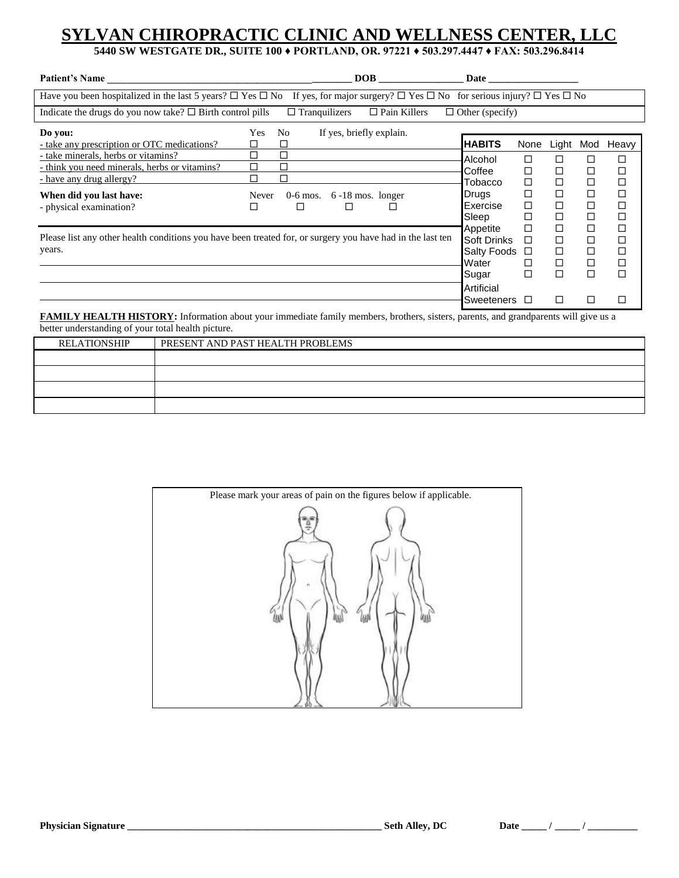**5440 SW WESTGATE DR., SUITE 100 ♦ PORTLAND, OR. 97221 ♦ 503.297.4447 ♦ FAX: 503.296.8414**

| <b>Patient's Name</b>                                                                                      | <b>DOB</b>                                                                                                                                                    | Date                        |                  |             |                  |                  |
|------------------------------------------------------------------------------------------------------------|---------------------------------------------------------------------------------------------------------------------------------------------------------------|-----------------------------|------------------|-------------|------------------|------------------|
|                                                                                                            | Have you been hospitalized in the last 5 years? $\Box$ Yes $\Box$ No If yes, for major surgery? $\Box$ Yes $\Box$ No for serious injury? $\Box$ Yes $\Box$ No |                             |                  |             |                  |                  |
| Indicate the drugs do you now take? $\Box$ Birth control pills                                             | $\Box$ Pain Killers<br>$\Box$ Tranquilizers                                                                                                                   | $\Box$ Other (specify)      |                  |             |                  |                  |
| Do you:<br>- take any prescription or OTC medications?                                                     | If yes, briefly explain.<br>Yes<br>No<br>□                                                                                                                    | <b>HABITS</b>               | None             | Light       | Mod              | Heavy            |
| - take minerals, herbs or vitamins?                                                                        | П<br>П                                                                                                                                                        | Alcohol                     | $\Box$           | □           | □                | □                |
| - think you need minerals, herbs or vitamins?<br>- have any drug allergy?                                  | $\Box$<br>□<br>□<br>п                                                                                                                                         | Coffee                      | □                | ◻           | □                | □                |
| When did you last have:                                                                                    | Tobacco<br>Drugs                                                                                                                                              | □<br>$\Box$                 | □<br>□           | □<br>□      | $\Box$<br>$\Box$ |                  |
| - physical examination?                                                                                    | □<br>□<br>□<br>□                                                                                                                                              | Exercise<br>Sleep           | $\Box$<br>$\Box$ | □<br>$\Box$ | □<br>□           | $\Box$<br>$\Box$ |
| Please list any other health conditions you have been treated for, or surgery you have had in the last ten | Appetite<br><b>Soft Drinks</b>                                                                                                                                | $\Box$<br>П                 | □<br>□           | □<br>□      | $\Box$<br>$\Box$ |                  |
| years.                                                                                                     |                                                                                                                                                               | <b>Salty Foods</b><br>Water | □<br>□           | $\Box$<br>□ | □<br>□           | $\Box$<br>$\Box$ |
|                                                                                                            |                                                                                                                                                               | Sugar                       | $\Box$           | □           | □                | □                |
|                                                                                                            |                                                                                                                                                               | Artificial<br>Sweeteners    | □                | □           | □                | □                |
| botton understanding of right total health nigtung                                                         | <b>FAMILY HEALTH HISTORY:</b> Information about your immediate family members, brothers, sisters, parents, and grandparents will give us a                    |                             |                  |             |                  |                  |

| better understanding or your total nearly picture. |                                  |  |  |  |  |  |  |  |  |
|----------------------------------------------------|----------------------------------|--|--|--|--|--|--|--|--|
| <b>RELATIONSHIP</b>                                | PRESENT AND PAST HEALTH PROBLEMS |  |  |  |  |  |  |  |  |
|                                                    |                                  |  |  |  |  |  |  |  |  |
|                                                    |                                  |  |  |  |  |  |  |  |  |
|                                                    |                                  |  |  |  |  |  |  |  |  |
|                                                    |                                  |  |  |  |  |  |  |  |  |

| Please mark your areas of pain on the figures below if applicable. |
|--------------------------------------------------------------------|
|                                                                    |
|                                                                    |
|                                                                    |
|                                                                    |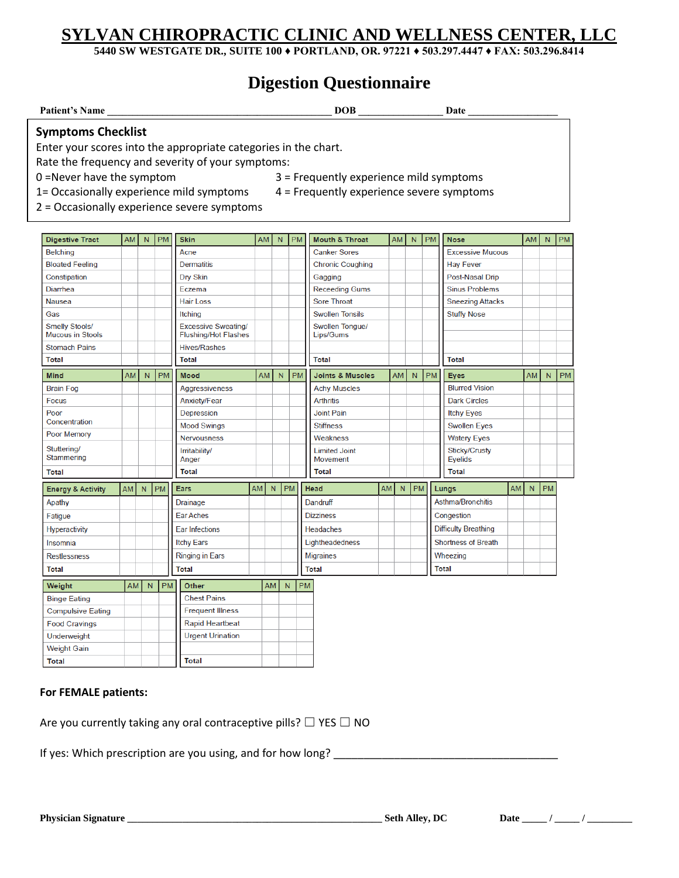**5440 SW WESTGATE DR., SUITE 100 ♦ PORTLAND, OR. 97221 ♦ 503.297.4447 ♦ FAX: 503.296.8414**

## **Digestion Questionnaire**

**Patient's Name \_\_\_\_\_\_\_\_\_\_\_\_\_\_\_\_\_\_\_\_\_\_\_\_\_\_\_\_\_\_\_\_\_\_\_\_\_\_\_\_\_\_\_\_\_ DOB \_\_\_\_\_\_\_\_\_\_\_\_\_\_\_\_\_ Date \_\_\_\_\_\_\_\_\_\_\_\_\_\_\_\_\_\_** 

**Symptoms Checklist**

Enter your scores into the appropriate categories in the chart.

Rate the frequency and severity of your symptoms:

0 =Never have the symptom 3 = Frequently experience mild symptoms

1= Occasionally experience mild symptoms 4 = Frequently experience severe symptoms 2 = Occasionally experience severe symptoms

| <b>Digestive Tract</b>                           | AM        | N            | <b>PM</b> | <b>Skin</b>                                               | AM        | N            |           | <b>PM</b> | <b>Mouth &amp; Throat</b>        |     | AM | $\mathsf{N}$ | <b>PM</b> | <b>Nose</b>                     |     | AM | $\mathsf{N}$ | PM        |
|--------------------------------------------------|-----------|--------------|-----------|-----------------------------------------------------------|-----------|--------------|-----------|-----------|----------------------------------|-----|----|--------------|-----------|---------------------------------|-----|----|--------------|-----------|
| <b>Belching</b>                                  |           |              |           | Acne                                                      |           |              |           |           | <b>Canker Sores</b>              |     |    |              |           | <b>Excessive Mucous</b>         |     |    |              |           |
| <b>Bloated Feeling</b>                           |           |              |           | <b>Dermatitis</b>                                         |           |              |           |           | <b>Chronic Coughing</b>          |     |    |              |           | <b>Hay Fever</b>                |     |    |              |           |
| Constipation                                     |           |              |           | Dry Skin                                                  |           |              |           |           | Gagging                          |     |    |              |           | Post-Nasal Drip                 |     |    |              |           |
| Diarrhea                                         |           |              |           | <b>Fczema</b>                                             |           |              |           |           | <b>Receeding Gums</b>            |     |    |              |           | <b>Sinus Problems</b>           |     |    |              |           |
| Nausea                                           |           |              |           | <b>Hair Loss</b>                                          |           |              |           |           | <b>Sore Throat</b>               |     |    |              |           | <b>Sneezing Attacks</b>         |     |    |              |           |
| Gas                                              |           |              |           | <b>Itching</b>                                            |           |              |           |           | <b>Swollen Tonsils</b>           |     |    |              |           | <b>Stuffy Nose</b>              |     |    |              |           |
| <b>Smelly Stools/</b><br><b>Mucous in Stools</b> |           |              |           | <b>Excessive Sweating/</b><br><b>Flushing/Hot Flashes</b> |           |              |           |           | Swollen Tonque/<br>Lips/Gums     |     |    |              |           |                                 |     |    |              |           |
| <b>Stomach Pains</b>                             |           |              |           | <b>Hives/Rashes</b>                                       |           |              |           |           |                                  |     |    |              |           |                                 |     |    |              |           |
| Total                                            |           |              |           | Total                                                     |           |              |           |           | <b>Total</b>                     |     |    |              |           | <b>Total</b>                    |     |    |              |           |
| <b>Mind</b>                                      | <b>AM</b> | N            | <b>PM</b> | <b>Mood</b>                                               | AM        | $\mathsf{N}$ |           | <b>PM</b> | <b>Joints &amp; Muscles</b>      |     | AM | $\mathbb N$  | <b>PM</b> | <b>Eyes</b>                     |     | AM | N            | <b>PM</b> |
| <b>Brain Fog</b>                                 |           |              |           | Aggressiveness                                            |           |              |           |           | <b>Achy Muscles</b>              |     |    |              |           | <b>Blurred Vision</b>           |     |    |              |           |
| <b>Focus</b>                                     |           |              |           | Anxiety/Fear                                              |           |              |           |           | <b>Arthritis</b>                 |     |    |              |           | <b>Dark Circles</b>             |     |    |              |           |
| Poor                                             |           |              |           | Depression                                                |           |              |           |           | <b>Joint Pain</b>                |     |    |              |           | <b>Itchy Eyes</b>               |     |    |              |           |
| Concentration                                    |           |              |           | <b>Mood Swings</b>                                        |           |              |           |           | <b>Stiffness</b>                 |     |    |              |           | <b>Swollen Eyes</b>             |     |    |              |           |
| Poor Memory                                      |           |              |           | <b>Nervousness</b>                                        |           |              |           |           | Weakness                         |     |    |              |           | <b>Watery Eyes</b>              |     |    |              |           |
| Stuttering/<br>Stammering                        |           |              |           | Irritability/<br>Anger                                    |           |              |           |           | <b>Limited Joint</b><br>Movement |     |    |              |           | <b>Sticky/Crusty</b><br>Eyelids |     |    |              |           |
| Total                                            |           |              |           | <b>Total</b>                                              |           |              |           |           | <b>Total</b>                     |     |    |              |           | <b>Total</b>                    |     |    |              |           |
| <b>Energy &amp; Activity</b>                     | AM        | $\mathsf{N}$ | PM        | <b>Ears</b>                                               | <b>AM</b> | N            | <b>PM</b> |           | Head                             | AMI | N. | <b>PM</b>    |           | Lungs                           | AMI | N. | <b>PM</b>    |           |
| Apathy                                           |           |              |           | Drainage                                                  |           |              |           |           | Dandruff                         |     |    |              |           | Asthma/Bronchitis               |     |    |              |           |
| Fatique                                          |           |              |           | <b>Ear Aches</b>                                          |           |              |           |           | <b>Dizziness</b>                 |     |    |              |           | Congestion                      |     |    |              |           |
| Hyperactivity                                    |           |              |           | <b>Ear Infections</b>                                     |           |              |           |           | <b>Headaches</b>                 |     |    |              |           | <b>Difficulty Breathing</b>     |     |    |              |           |
| Insomnia                                         |           |              |           | <b>Itchy Ears</b>                                         |           |              |           |           | Lightheadedness                  |     |    |              |           | <b>Shortness of Breath</b>      |     |    |              |           |
| <b>Restlessness</b>                              |           |              |           | <b>Ringing in Ears</b>                                    |           |              |           |           | <b>Migraines</b>                 |     |    |              |           | Wheezing                        |     |    |              |           |
| <b>Total</b>                                     |           |              |           | <b>Total</b>                                              |           |              |           |           | <b>Total</b>                     |     |    |              |           | <b>Total</b>                    |     |    |              |           |
| Weight                                           | <b>AM</b> | N            | <b>PM</b> | Other                                                     |           | AM           | N         | <b>PM</b> |                                  |     |    |              |           |                                 |     |    |              |           |
| <b>Binge Eating</b>                              |           |              |           | <b>Chest Pains</b>                                        |           |              |           |           |                                  |     |    |              |           |                                 |     |    |              |           |
| <b>Compulsive Eating</b>                         |           |              |           | <b>Frequent Illness</b>                                   |           |              |           |           |                                  |     |    |              |           |                                 |     |    |              |           |
| <b>Food Cravings</b>                             |           |              |           | <b>Rapid Heartbeat</b>                                    |           |              |           |           |                                  |     |    |              |           |                                 |     |    |              |           |
| Underweight                                      |           |              |           | <b>Urgent Urination</b>                                   |           |              |           |           |                                  |     |    |              |           |                                 |     |    |              |           |
| <b>Weight Gain</b>                               |           |              |           |                                                           |           |              |           |           |                                  |     |    |              |           |                                 |     |    |              |           |
| <b>Total</b>                                     |           |              |           | <b>Total</b>                                              |           |              |           |           |                                  |     |    |              |           |                                 |     |    |              |           |

### **For FEMALE patients:**

Are you currently taking any oral contraceptive pills?  $\Box$  YES  $\Box$  NO

If yes: Which prescription are you using, and for how long?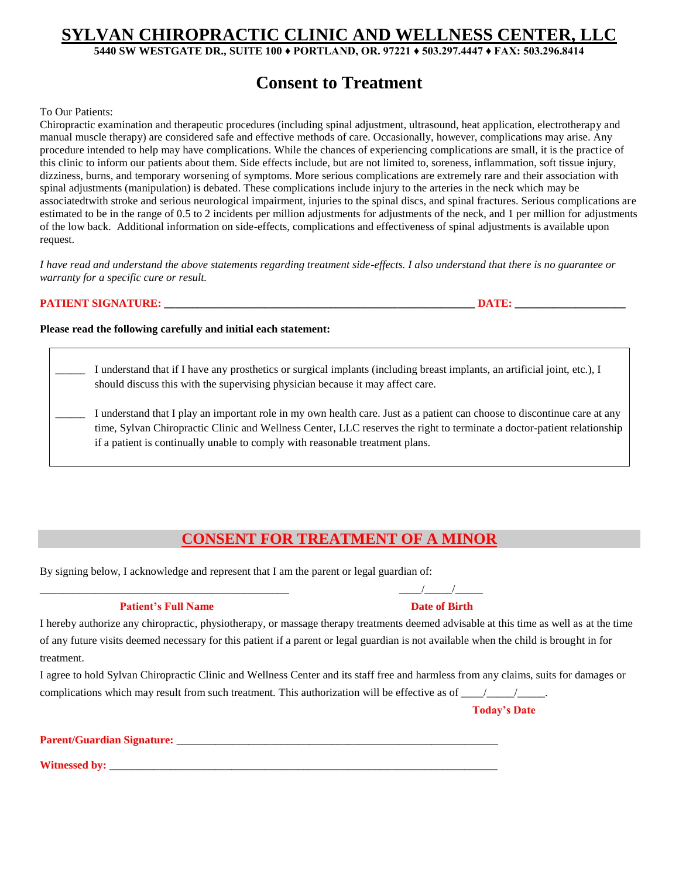**5440 SW WESTGATE DR., SUITE 100 ♦ PORTLAND, OR. 97221 ♦ 503.297.4447 ♦ FAX: 503.296.8414**

## **Consent to Treatment**

#### To Our Patients:

Chiropractic examination and therapeutic procedures (including spinal adjustment, ultrasound, heat application, electrotherapy and manual muscle therapy) are considered safe and effective methods of care. Occasionally, however, complications may arise. Any procedure intended to help may have complications. While the chances of experiencing complications are small, it is the practice of this clinic to inform our patients about them. Side effects include, but are not limited to, soreness, inflammation, soft tissue injury, dizziness, burns, and temporary worsening of symptoms. More serious complications are extremely rare and their association with spinal adjustments (manipulation) is debated. These complications include injury to the arteries in the neck which may be associatedtwith stroke and serious neurological impairment, injuries to the spinal discs, and spinal fractures. Serious complications are estimated to be in the range of 0.5 to 2 incidents per million adjustments for adjustments of the neck, and 1 per million for adjustments of the low back. Additional information on side-effects, complications and effectiveness of spinal adjustments is available upon request.

*I have read and understand the above statements regarding treatment side-effects. I also understand that there is no guarantee or warranty for a specific cure or result.*

#### **PATIENT SIGNATURE: \_\_\_\_\_\_\_\_\_\_\_\_\_\_\_\_\_\_\_\_\_\_\_\_\_\_\_\_\_\_\_\_\_\_\_\_\_\_\_\_\_\_\_\_\_\_\_\_\_\_\_\_\_\_\_\_ DATE: \_\_\_\_\_\_\_\_\_\_\_\_\_\_\_\_\_\_\_\_**

#### **Please read the following carefully and initial each statement:**

I understand that if I have any prosthetics or surgical implants (including breast implants, an artificial joint, etc.), I should discuss this with the supervising physician because it may affect care.

I understand that I play an important role in my own health care. Just as a patient can choose to discontinue care at any time, Sylvan Chiropractic Clinic and Wellness Center, LLC reserves the right to terminate a doctor-patient relationship if a patient is continually unable to comply with reasonable treatment plans.

### **CONSENT FOR TREATMENT OF A MINOR**

By signing below, I acknowledge and represent that I am the parent or legal guardian of:

**Parent/Guardian Signature:**  $\blacksquare$ 

#### **Patient's Full Name Date of Birth**

I hereby authorize any chiropractic, physiotherapy, or massage therapy treatments deemed advisable at this time as well as at the time of any future visits deemed necessary for this patient if a parent or legal guardian is not available when the child is brought in for treatment.

I agree to hold Sylvan Chiropractic Clinic and Wellness Center and its staff free and harmless from any claims, suits for damages or complications which may result from such treatment. This authorization will be effective as of  $\frac{1}{\sqrt{1-\frac{1}{\sqrt{1-\frac{1}{\sqrt{1-\frac{1}{\sqrt{1-\frac{1}{\sqrt{1-\frac{1}{\sqrt{1-\frac{1}{\sqrt{1-\frac{1}{\sqrt{1-\frac{1}{\sqrt{1-\frac{1}{\sqrt{1-\frac{1}{\sqrt{1-\frac{1}{\sqrt{1-\frac{1}{\sqrt{1-\frac{1}{\sqrt{$ 

**Today's Date**



Witnessed by: **witnessed by:**  $\blacksquare$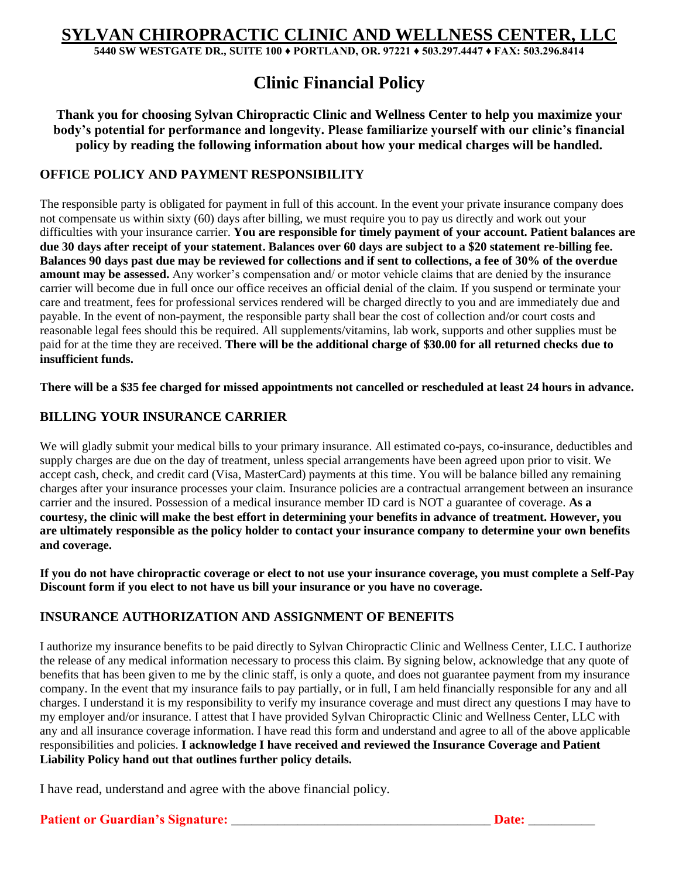**5440 SW WESTGATE DR., SUITE 100 ♦ PORTLAND, OR. 97221 ♦ 503.297.4447 ♦ FAX: 503.296.8414**

## **Clinic Financial Policy**

**Thank you for choosing Sylvan Chiropractic Clinic and Wellness Center to help you maximize your body's potential for performance and longevity. Please familiarize yourself with our clinic's financial policy by reading the following information about how your medical charges will be handled.**

### **OFFICE POLICY AND PAYMENT RESPONSIBILITY**

The responsible party is obligated for payment in full of this account. In the event your private insurance company does not compensate us within sixty (60) days after billing, we must require you to pay us directly and work out your difficulties with your insurance carrier. **You are responsible for timely payment of your account. Patient balances are due 30 days after receipt of your statement. Balances over 60 days are subject to a \$20 statement re-billing fee. Balances 90 days past due may be reviewed for collections and if sent to collections, a fee of 30% of the overdue amount may be assessed.** Any worker's compensation and/ or motor vehicle claims that are denied by the insurance carrier will become due in full once our office receives an official denial of the claim. If you suspend or terminate your care and treatment, fees for professional services rendered will be charged directly to you and are immediately due and payable. In the event of non-payment, the responsible party shall bear the cost of collection and/or court costs and reasonable legal fees should this be required. All supplements/vitamins, lab work, supports and other supplies must be paid for at the time they are received. **There will be the additional charge of \$30.00 for all returned checks due to insufficient funds.** 

**There will be a \$35 fee charged for missed appointments not cancelled or rescheduled at least 24 hours in advance.**

### **BILLING YOUR INSURANCE CARRIER**

We will gladly submit your medical bills to your primary insurance. All estimated co-pays, co-insurance, deductibles and supply charges are due on the day of treatment, unless special arrangements have been agreed upon prior to visit. We accept cash, check, and credit card (Visa, MasterCard) payments at this time. You will be balance billed any remaining charges after your insurance processes your claim. Insurance policies are a contractual arrangement between an insurance carrier and the insured. Possession of a medical insurance member ID card is NOT a guarantee of coverage. **As a courtesy, the clinic will make the best effort in determining your benefits in advance of treatment. However, you are ultimately responsible as the policy holder to contact your insurance company to determine your own benefits and coverage.**

**If you do not have chiropractic coverage or elect to not use your insurance coverage, you must complete a Self-Pay Discount form if you elect to not have us bill your insurance or you have no coverage.**

### **INSURANCE AUTHORIZATION AND ASSIGNMENT OF BENEFITS**

I authorize my insurance benefits to be paid directly to Sylvan Chiropractic Clinic and Wellness Center, LLC. I authorize the release of any medical information necessary to process this claim. By signing below, acknowledge that any quote of benefits that has been given to me by the clinic staff, is only a quote, and does not guarantee payment from my insurance company. In the event that my insurance fails to pay partially, or in full, I am held financially responsible for any and all charges. I understand it is my responsibility to verify my insurance coverage and must direct any questions I may have to my employer and/or insurance. I attest that I have provided Sylvan Chiropractic Clinic and Wellness Center, LLC with any and all insurance coverage information. I have read this form and understand and agree to all of the above applicable responsibilities and policies. **I acknowledge I have received and reviewed the Insurance Coverage and Patient Liability Policy hand out that outlines further policy details.**

I have read, understand and agree with the above financial policy.

### **Patient or Guardian's Signature:** \_\_\_\_\_\_\_\_\_\_\_\_\_\_\_\_\_\_\_\_\_\_\_\_\_\_\_\_\_\_\_\_\_\_\_\_\_\_\_ **Date:** \_\_\_\_\_\_\_\_\_\_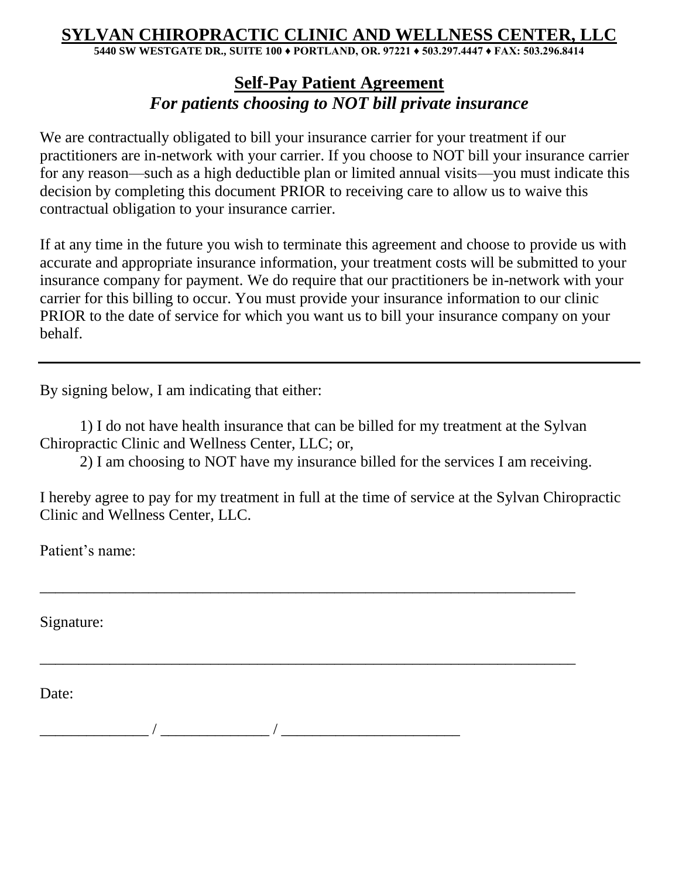**5440 SW WESTGATE DR., SUITE 100 ♦ PORTLAND, OR. 97221 ♦ 503.297.4447 ♦ FAX: 503.296.8414**

## **Self-Pay Patient Agreement** *For patients choosing to NOT bill private insurance*

We are contractually obligated to bill your insurance carrier for your treatment if our practitioners are in-network with your carrier. If you choose to NOT bill your insurance carrier for any reason—such as a high deductible plan or limited annual visits—you must indicate this decision by completing this document PRIOR to receiving care to allow us to waive this contractual obligation to your insurance carrier.

If at any time in the future you wish to terminate this agreement and choose to provide us with accurate and appropriate insurance information, your treatment costs will be submitted to your insurance company for payment. We do require that our practitioners be in-network with your carrier for this billing to occur. You must provide your insurance information to our clinic PRIOR to the date of service for which you want us to bill your insurance company on your behalf.

By signing below, I am indicating that either:

1) I do not have health insurance that can be billed for my treatment at the Sylvan Chiropractic Clinic and Wellness Center, LLC; or,

\_\_\_\_\_\_\_\_\_\_\_\_\_\_\_\_\_\_\_\_\_\_\_\_\_\_\_\_\_\_\_\_\_\_\_\_\_\_\_\_\_\_\_\_\_\_\_\_\_\_\_\_\_\_\_\_\_\_\_\_\_\_\_\_\_\_\_\_\_

\_\_\_\_\_\_\_\_\_\_\_\_\_\_\_\_\_\_\_\_\_\_\_\_\_\_\_\_\_\_\_\_\_\_\_\_\_\_\_\_\_\_\_\_\_\_\_\_\_\_\_\_\_\_\_\_\_\_\_\_\_\_\_\_\_\_\_\_\_

2) I am choosing to NOT have my insurance billed for the services I am receiving.

I hereby agree to pay for my treatment in full at the time of service at the Sylvan Chiropractic Clinic and Wellness Center, LLC.

Patient's name:

Signature:

Date:

 $\overline{\phantom{a}}$  /  $\overline{\phantom{a}}$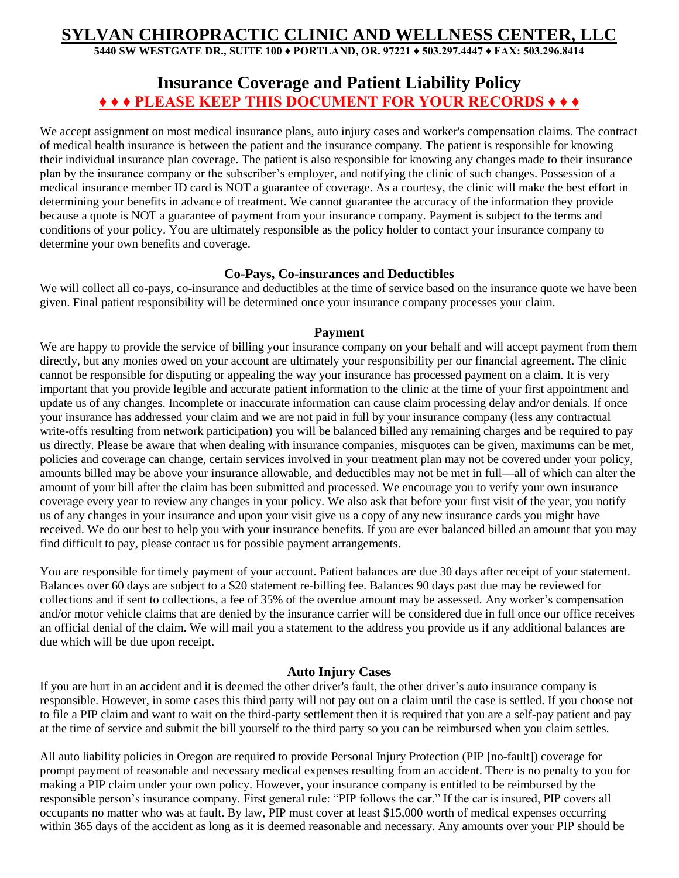**5440 SW WESTGATE DR., SUITE 100 ♦ PORTLAND, OR. 97221 ♦ 503.297.4447 ♦ FAX: 503.296.8414**

## **Insurance Coverage and Patient Liability Policy ♦ ♦ ♦ PLEASE KEEP THIS DOCUMENT FOR YOUR RECORDS ♦ ♦ ♦**

We accept assignment on most medical insurance plans, auto injury cases and worker's compensation claims. The contract of medical health insurance is between the patient and the insurance company. The patient is responsible for knowing their individual insurance plan coverage. The patient is also responsible for knowing any changes made to their insurance plan by the insurance company or the subscriber's employer, and notifying the clinic of such changes. Possession of a medical insurance member ID card is NOT a guarantee of coverage. As a courtesy, the clinic will make the best effort in determining your benefits in advance of treatment. We cannot guarantee the accuracy of the information they provide because a quote is NOT a guarantee of payment from your insurance company. Payment is subject to the terms and conditions of your policy. You are ultimately responsible as the policy holder to contact your insurance company to determine your own benefits and coverage.

### **Co-Pays, Co-insurances and Deductibles**

We will collect all co-pays, co-insurance and deductibles at the time of service based on the insurance quote we have been given. Final patient responsibility will be determined once your insurance company processes your claim.

### **Payment**

We are happy to provide the service of billing your insurance company on your behalf and will accept payment from them directly, but any monies owed on your account are ultimately your responsibility per our financial agreement. The clinic cannot be responsible for disputing or appealing the way your insurance has processed payment on a claim. It is very important that you provide legible and accurate patient information to the clinic at the time of your first appointment and update us of any changes. Incomplete or inaccurate information can cause claim processing delay and/or denials. If once your insurance has addressed your claim and we are not paid in full by your insurance company (less any contractual write-offs resulting from network participation) you will be balanced billed any remaining charges and be required to pay us directly. Please be aware that when dealing with insurance companies, misquotes can be given, maximums can be met, policies and coverage can change, certain services involved in your treatment plan may not be covered under your policy, amounts billed may be above your insurance allowable, and deductibles may not be met in full—all of which can alter the amount of your bill after the claim has been submitted and processed. We encourage you to verify your own insurance coverage every year to review any changes in your policy. We also ask that before your first visit of the year, you notify us of any changes in your insurance and upon your visit give us a copy of any new insurance cards you might have received. We do our best to help you with your insurance benefits. If you are ever balanced billed an amount that you may find difficult to pay, please contact us for possible payment arrangements.

You are responsible for timely payment of your account. Patient balances are due 30 days after receipt of your statement. Balances over 60 days are subject to a \$20 statement re-billing fee. Balances 90 days past due may be reviewed for collections and if sent to collections, a fee of 35% of the overdue amount may be assessed. Any worker's compensation and/or motor vehicle claims that are denied by the insurance carrier will be considered due in full once our office receives an official denial of the claim. We will mail you a statement to the address you provide us if any additional balances are due which will be due upon receipt.

### **Auto Injury Cases**

If you are hurt in an accident and it is deemed the other driver's fault, the other driver's auto insurance company is responsible. However, in some cases this third party will not pay out on a claim until the case is settled. If you choose not to file a PIP claim and want to wait on the third-party settlement then it is required that you are a self-pay patient and pay at the time of service and submit the bill yourself to the third party so you can be reimbursed when you claim settles.

All auto liability policies in Oregon are required to provide Personal Injury Protection (PIP [no-fault]) coverage for prompt payment of reasonable and necessary medical expenses resulting from an accident. There is no penalty to you for making a PIP claim under your own policy. However, your insurance company is entitled to be reimbursed by the responsible person's insurance company. First general rule: "PIP follows the car." If the car is insured, PIP covers all occupants no matter who was at fault. By law, PIP must cover at least \$15,000 worth of medical expenses occurring within 365 days of the accident as long as it is deemed reasonable and necessary. Any amounts over your PIP should be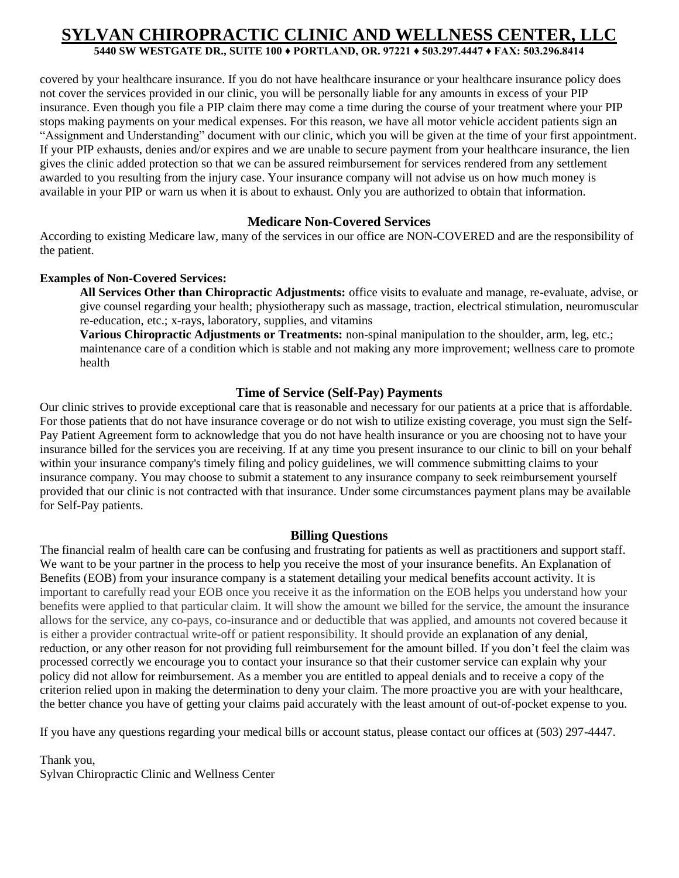**5440 SW WESTGATE DR., SUITE 100 ♦ PORTLAND, OR. 97221 ♦ 503.297.4447 ♦ FAX: 503.296.8414**

covered by your healthcare insurance. If you do not have healthcare insurance or your healthcare insurance policy does not cover the services provided in our clinic, you will be personally liable for any amounts in excess of your PIP insurance. Even though you file a PIP claim there may come a time during the course of your treatment where your PIP stops making payments on your medical expenses. For this reason, we have all motor vehicle accident patients sign an "Assignment and Understanding" document with our clinic, which you will be given at the time of your first appointment. If your PIP exhausts, denies and/or expires and we are unable to secure payment from your healthcare insurance, the lien gives the clinic added protection so that we can be assured reimbursement for services rendered from any settlement awarded to you resulting from the injury case. Your insurance company will not advise us on how much money is available in your PIP or warn us when it is about to exhaust. Only you are authorized to obtain that information.

### **Medicare Non-Covered Services**

According to existing Medicare law, many of the services in our office are NON-COVERED and are the responsibility of the patient.

### **Examples of Non-Covered Services:**

**All Services Other than Chiropractic Adjustments:** office visits to evaluate and manage, re-evaluate, advise, or give counsel regarding your health; physiotherapy such as massage, traction, electrical stimulation, neuromuscular re-education, etc.; x-rays, laboratory, supplies, and vitamins

**Various Chiropractic Adjustments or Treatments:** non-spinal manipulation to the shoulder, arm, leg, etc.; maintenance care of a condition which is stable and not making any more improvement; wellness care to promote health

### **Time of Service (Self-Pay) Payments**

Our clinic strives to provide exceptional care that is reasonable and necessary for our patients at a price that is affordable. For those patients that do not have insurance coverage or do not wish to utilize existing coverage, you must sign the Self-Pay Patient Agreement form to acknowledge that you do not have health insurance or you are choosing not to have your insurance billed for the services you are receiving. If at any time you present insurance to our clinic to bill on your behalf within your insurance company's timely filing and policy guidelines, we will commence submitting claims to your insurance company. You may choose to submit a statement to any insurance company to seek reimbursement yourself provided that our clinic is not contracted with that insurance. Under some circumstances payment plans may be available for Self-Pay patients.

### **Billing Questions**

The financial realm of health care can be confusing and frustrating for patients as well as practitioners and support staff. We want to be your partner in the process to help you receive the most of your insurance benefits. An Explanation of Benefits (EOB) from your insurance company is a statement detailing your medical benefits account activity. It is important to carefully read your EOB once you receive it as the information on the EOB helps you understand how your benefits were applied to that particular claim. It will show the amount we billed for the service, the amount the insurance allows for the service, any co-pays, co-insurance and or deductible that was applied, and amounts not covered because it is either a provider contractual write-off or patient responsibility. It should provide an explanation of any denial, reduction, or any other reason for not providing full reimbursement for the amount billed. If you don't feel the claim was processed correctly we encourage you to contact your insurance so that their customer service can explain why your policy did not allow for reimbursement. As a member you are entitled to appeal denials and to receive a copy of the criterion relied upon in making the determination to deny your claim. The more proactive you are with your healthcare, the better chance you have of getting your claims paid accurately with the least amount of out-of-pocket expense to you.

If you have any questions regarding your medical bills or account status, please contact our offices at (503) 297-4447.

Thank you, Sylvan Chiropractic Clinic and Wellness Center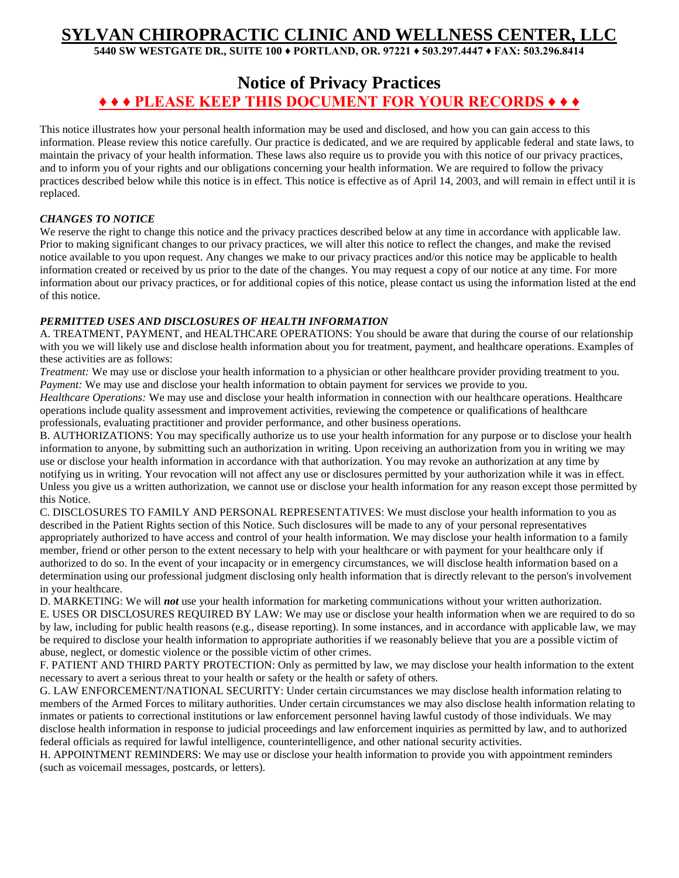**5440 SW WESTGATE DR., SUITE 100 ♦ PORTLAND, OR. 97221 ♦ 503.297.4447 ♦ FAX: 503.296.8414**

## **Notice of Privacy Practices ♦ ♦ ♦ PLEASE KEEP THIS DOCUMENT FOR YOUR RECORDS ♦ ♦ ♦**

This notice illustrates how your personal health information may be used and disclosed, and how you can gain access to this information. Please review this notice carefully. Our practice is dedicated, and we are required by applicable federal and state laws, to maintain the privacy of your health information. These laws also require us to provide you with this notice of our privacy practices, and to inform you of your rights and our obligations concerning your health information. We are required to follow the privacy practices described below while this notice is in effect. This notice is effective as of April 14, 2003, and will remain in effect until it is replaced.

### *CHANGES TO NOTICE*

We reserve the right to change this notice and the privacy practices described below at any time in accordance with applicable law. Prior to making significant changes to our privacy practices, we will alter this notice to reflect the changes, and make the revised notice available to you upon request. Any changes we make to our privacy practices and/or this notice may be applicable to health information created or received by us prior to the date of the changes. You may request a copy of our notice at any time. For more information about our privacy practices, or for additional copies of this notice, please contact us using the information listed at the end of this notice.

### *PERMITTED USES AND DISCLOSURES OF HEALTH INFORMATION*

A. TREATMENT, PAYMENT, and HEALTHCARE OPERATIONS: You should be aware that during the course of our relationship with you we will likely use and disclose health information about you for treatment, payment, and healthcare operations. Examples of these activities are as follows:

*Treatment:* We may use or disclose your health information to a physician or other healthcare provider providing treatment to you. *Payment:* We may use and disclose your health information to obtain payment for services we provide to you.

*Healthcare Operations:* We may use and disclose your health information in connection with our healthcare operations. Healthcare operations include quality assessment and improvement activities, reviewing the competence or qualifications of healthcare professionals, evaluating practitioner and provider performance, and other business operations.

B. AUTHORIZATIONS: You may specifically authorize us to use your health information for any purpose or to disclose your health information to anyone, by submitting such an authorization in writing. Upon receiving an authorization from you in writing we may use or disclose your health information in accordance with that authorization. You may revoke an authorization at any time by notifying us in writing. Your revocation will not affect any use or disclosures permitted by your authorization while it was in effect. Unless you give us a written authorization, we cannot use or disclose your health information for any reason except those permitted by this Notice.

C. DISCLOSURES TO FAMILY AND PERSONAL REPRESENTATIVES: We must disclose your health information to you as described in the Patient Rights section of this Notice. Such disclosures will be made to any of your personal representatives appropriately authorized to have access and control of your health information. We may disclose your health information to a family member, friend or other person to the extent necessary to help with your healthcare or with payment for your healthcare only if authorized to do so. In the event of your incapacity or in emergency circumstances, we will disclose health information based on a determination using our professional judgment disclosing only health information that is directly relevant to the person's involvement in your healthcare.

D. MARKETING: We will *not* use your health information for marketing communications without your written authorization. E. USES OR DISCLOSURES REQUIRED BY LAW: We may use or disclose your health information when we are required to do so by law, including for public health reasons (e.g., disease reporting). In some instances, and in accordance with applicable law, we may be required to disclose your health information to appropriate authorities if we reasonably believe that you are a possible victim of abuse, neglect, or domestic violence or the possible victim of other crimes.

F. PATIENT AND THIRD PARTY PROTECTION: Only as permitted by law, we may disclose your health information to the extent necessary to avert a serious threat to your health or safety or the health or safety of others.

G. LAW ENFORCEMENT/NATIONAL SECURITY: Under certain circumstances we may disclose health information relating to members of the Armed Forces to military authorities. Under certain circumstances we may also disclose health information relating to inmates or patients to correctional institutions or law enforcement personnel having lawful custody of those individuals. We may disclose health information in response to judicial proceedings and law enforcement inquiries as permitted by law, and to authorized federal officials as required for lawful intelligence, counterintelligence, and other national security activities.

H. APPOINTMENT REMINDERS: We may use or disclose your health information to provide you with appointment reminders (such as voicemail messages, postcards, or letters).